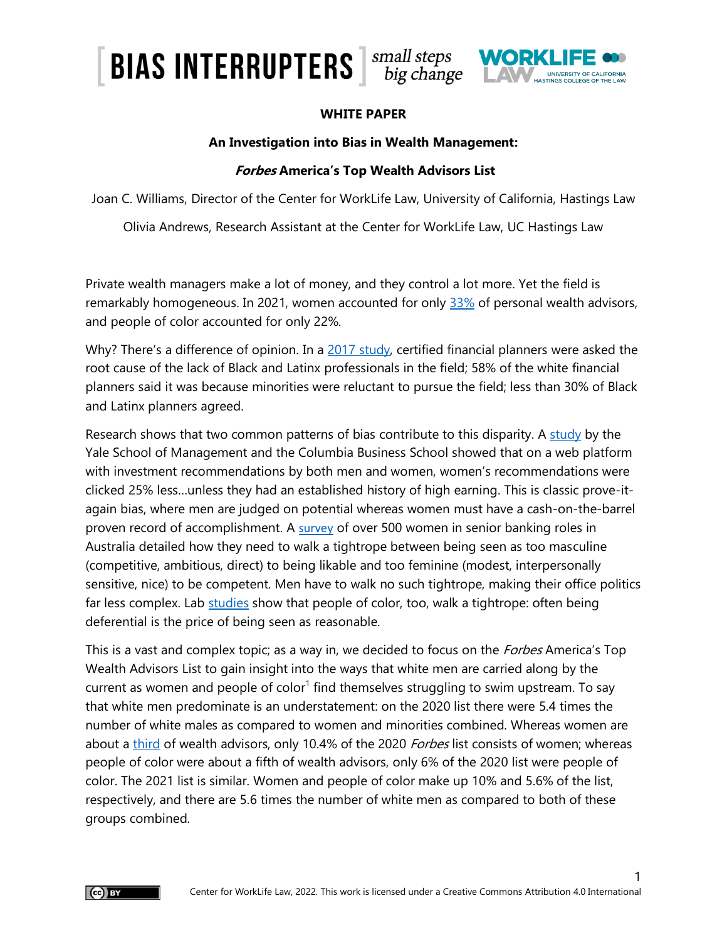# **BIAS INTERRUPTERS**  $\frac{small\ steps}{big\~~change~~$ UNIVERSITY OF CALIFORNIA

#### **WHITE PAPER**

#### **An Investigation into Bias in Wealth Management:**

#### **Forbes America's Top Wealth Advisors List**

Joan C. Williams, Director of the Center for WorkLife Law, University of California, Hastings Law

Olivia Andrews, Research Assistant at the Center for WorkLife Law, UC Hastings Law

Private wealth managers make a lot of money, and they control a lot more. Yet the field is remarkably homogeneous. In 2021, women accounted for only [33%](https://www.bls.gov/cps/cpsaat11.htm) of personal wealth advisors, and people of color accounted for only 22%.

Why? There's a difference of opinion. In a [2017 study,](https://www.cfp.net/-/media/files/cfp-board/knowledge/reports-and-research/racial-diversity-in-financial-planning/racial-diversity-in-financial-planning.pdf) certified financial planners were asked the root cause of the lack of Black and Latinx professionals in the field; 58% of the white financial planners said it was because minorities were reluctant to pursue the field; less than 30% of Black and Latinx planners agreed.

Research shows that two common patterns of bias contribute to this disparity. A [study](https://insights.som.yale.edu/insights/study-shows-bias-against-investment-recommendations-from-women) by the Yale School of Management and the Columbia Business School showed that on a web platform with investment recommendations by both men and women, women's recommendations were clicked 25% less…unless they had an established history of high earning. This is classic prove-itagain bias, where men are judged on potential whereas women must have a cash-on-the-barrel proven record of accomplishment. A [survey](https://journals.sagepub.com/doi/10.1177/0361684315574501) of over 500 women in senior banking roles in Australia detailed how they need to walk a tightrope between being seen as too masculine (competitive, ambitious, direct) to being likable and too feminine (modest, interpersonally sensitive, nice) to be competent. Men have to walk no such tightrope, making their office politics far less complex. Lab [studies](https://journals.sagepub.com/doi/abs/10.1177/0190272517695213) show that people of color, too, walk a tightrope: often being deferential is the price of being seen as reasonable.

This is a vast and complex topic; as a way in, we decided to focus on the *Forbes* America's Top Wealth Advisors List to gain insight into the ways that white men are carried along by the current as women and people of color<sup>1</sup> find themselves struggling to swim upstream. To say that white men predominate is an understatement: on the 2020 list there were 5.4 times the number of white males as compared to women and minorities combined. Whereas women are about a [third](https://www.bls.gov/cps/cpsaat11.htm) of wealth advisors, only 10.4% of the 2020 Forbes list consists of women; whereas people of color were about a fifth of wealth advisors, only 6% of the 2020 list were people of color. The 2021 list is similar. Women and people of color make up 10% and 5.6% of the list, respectively, and there are 5.6 times the number of white men as compared to both of these groups combined.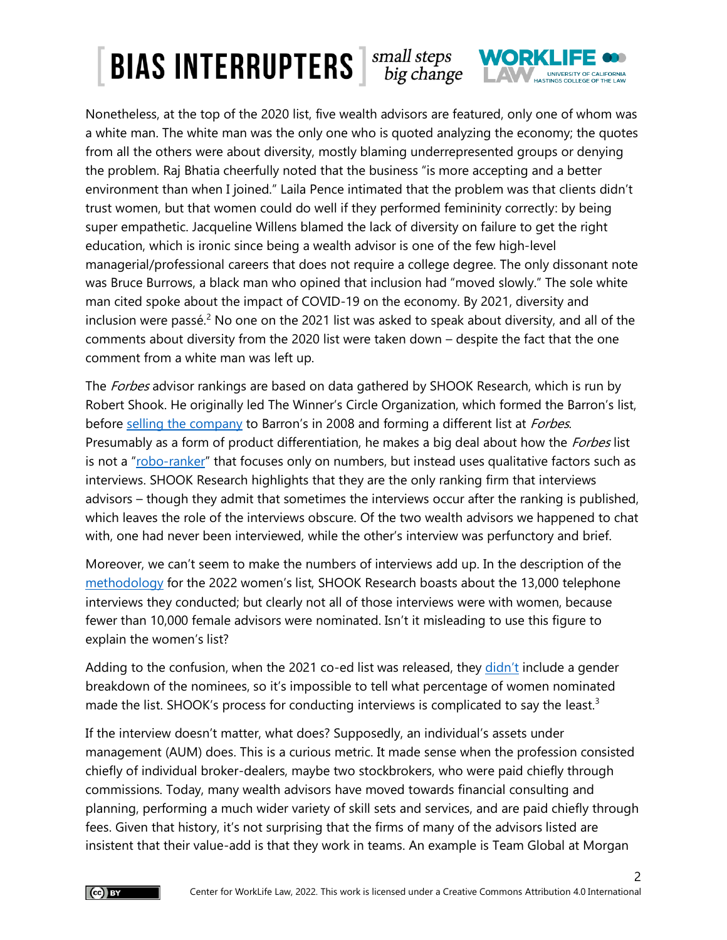# $\left\lceil \text{BIAS INTERRUPTERS} \right\rceil$   $\substack{\text{small steps} \\ \text{big change}}$ UNIVERSITY OF CALIFORNIA

Nonetheless, at the top of the 2020 list, five wealth advisors are featured, only one of whom was a white man. The white man was the only one who is quoted analyzing the economy; the quotes from all the others were about diversity, mostly blaming underrepresented groups or denying the problem. Raj Bhatia cheerfully noted that the business "is more accepting and a better environment than when I joined." Laila Pence intimated that the problem was that clients didn't trust women, but that women could do well if they performed femininity correctly: by being super empathetic. Jacqueline Willens blamed the lack of diversity on failure to get the right education, which is ironic since being a wealth advisor is one of the few high-level managerial/professional careers that does not require a college degree. The only dissonant note was Bruce Burrows, a black man who opined that inclusion had "moved slowly." The sole white man cited spoke about the impact of COVID-19 on the economy. By 2021, diversity and inclusion were passé.<sup>2</sup> No one on the 2021 list was asked to speak about diversity, and all of the comments about diversity from the 2020 list were taken down – despite the fact that the one comment from a white man was left up.

The *Forbes* advisor rankings are based on data gathered by SHOOK Research, which is run by Robert Shook. He originally led The Winner's Circle Organization, which formed the Barron's list, before [selling the company](https://www.bizjournals.com/southflorida/stories/2008/09/22/daily38.html) to Barron's in 2008 and forming a different list at Forbes. Presumably as a form of product differentiation, he makes a big deal about how the *Forbes* list is not a "[robo-ranker](https://www.forbes.com/sites/rjshook/2021/08/24/methodology-americas-top-wealth-advisors-2021/?sh=69c30d83649c)" that focuses only on numbers, but instead uses qualitative factors such as interviews. SHOOK Research highlights that they are the only ranking firm that interviews advisors – though they admit that sometimes the interviews occur after the ranking is published, which leaves the role of the interviews obscure. Of the two wealth advisors we happened to chat with, one had never been interviewed, while the other's interview was perfunctory and brief.

Moreover, we can't seem to make the numbers of interviews add up. In the description of the [methodology](https://www.forbes.com/sites/rjshook/2022/02/04/methodology-americas-top-women-wealth-advisors-2022/?sh=550bbabe1864) for the 2022 women's list, SHOOK Research boasts about the 13,000 telephone interviews they conducted; but clearly not all of those interviews were with women, because fewer than 10,000 female advisors were nominated. Isn't it misleading to use this figure to explain the women's list?

Adding to the confusion, when the 2021 co-ed list was released, they [didn't](https://www.forbes.com/sites/rjshook/2021/08/24/methodology-americas-top-wealth-advisors-2021/?sh=74ec8b99649c) include a gender breakdown of the nominees, so it's impossible to tell what percentage of women nominated made the list. SHOOK's process for conducting interviews is complicated to say the least.<sup>3</sup>

If the interview doesn't matter, what does? Supposedly, an individual's assets under management (AUM) does. This is a curious metric. It made sense when the profession consisted chiefly of individual broker-dealers, maybe two stockbrokers, who were paid chiefly through commissions. Today, many wealth advisors have moved towards financial consulting and planning, performing a much wider variety of skill sets and services, and are paid chiefly through fees. Given that history, it's not surprising that the firms of many of the advisors listed are insistent that their value-add is that they work in teams. An example is Team Global at Morgan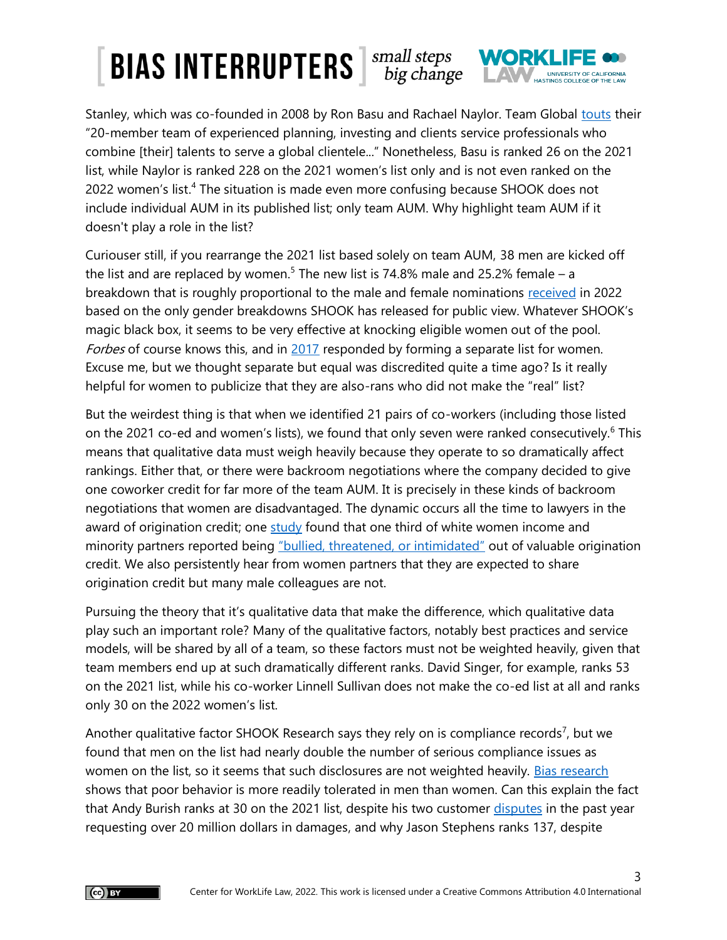# $\left\lceil \frac{\text{BIAS}}{\text{BIAS}} \right\rceil$   $\left\lceil \frac{\text{SMAII}}{\text{BIG}} \right\rceil$   $\frac{\text{SMAII}}{\text{BIG}}$ UNIVERSITY OF CALIFORNIA

Stanley, which was co-founded in 2008 by Ron Basu and Rachael Naylor. Team Global [touts](https://advisor.morganstanley.com/team-global-at-morgan-stanley-private-wealth-management) their "20-member team of experienced planning, investing and clients service professionals who combine [their] talents to serve a global clientele..." Nonetheless, Basu is ranked 26 on the 2021 list, while Naylor is ranked 228 on the 2021 women's list only and is not even ranked on the 2022 women's list.<sup>4</sup> The situation is made even more confusing because SHOOK does not include individual AUM in its published list; only team AUM. Why highlight team AUM if it doesn't play a role in the list?

Curiouser still, if you rearrange the 2021 list based solely on team AUM, 38 men are kicked off the list and are replaced by women.<sup>5</sup> The new list is 74.8% male and 25.2% female – a breakdown that is roughly proportional to the male and female nominations [received](https://www.forbes.com/sites/rjshook/2022/02/04/methodology-americas-top-women-wealth-advisors-2022/?sh=c04afee1864d) in 2022 based on the only gender breakdowns SHOOK has released for public view. Whatever SHOOK's magic black box, it seems to be very effective at knocking eligible women out of the pool. Forbes of course knows this, and in [2017](https://www.forbes.com/sites/forbespr/2017/02/28/forbes-and-shook-research-release-inaugural-americas-top-women-wealth-advisors-list/?sh=14fe822146c6) responded by forming a separate list for women. Excuse me, but we thought separate but equal was discredited quite a time ago? Is it really helpful for women to publicize that they are also-rans who did not make the "real" list?

But the weirdest thing is that when we identified 21 pairs of co-workers (including those listed on the 2021 co-ed and women's lists), we found that only seven were ranked consecutively.<sup>6</sup> This means that qualitative data must weigh heavily because they operate to so dramatically affect rankings. Either that, or there were backroom negotiations where the company decided to give one coworker credit for far more of the team AUM. It is precisely in these kinds of backroom negotiations that women are disadvantaged. The dynamic occurs all the time to lawyers in the award of origination credit; one  $\frac{\text{study}}{\text{found}}$  found that one third of white women income and minority partners reported being ["bullied, threatened, or intimidated"](https://repository.uchastings.edu/cgi/viewcontent.cgi?article=1820&context=faculty_scholarship) out of valuable origination credit. We also persistently hear from women partners that they are expected to share origination credit but many male colleagues are not.

Pursuing the theory that it's qualitative data that make the difference, which qualitative data play such an important role? Many of the qualitative factors, notably best practices and service models, will be shared by all of a team, so these factors must not be weighted heavily, given that team members end up at such dramatically different ranks. David Singer, for example, ranks 53 on the 2021 list, while his co-worker Linnell Sullivan does not make the co-ed list at all and ranks only 30 on the 2022 women's list.

Another qualitative factor SHOOK Research says they rely on is compliance records<sup>7</sup>, but we found that men on the list had nearly double the number of serious compliance issues as women on the list, so it seems that such disclosures are not weighted heavily. [Bias research](https://psycnet.apa.org/record/2002-08257-002) shows that poor behavior is more readily tolerated in men than women. Can this explain the fact that Andy Burish ranks at 30 on the 2021 list, despite his two customer [disputes](https://brokercheck.finra.org/individual/summary/1111163#disclosuresSection) in the past year requesting over 20 million dollars in damages, and why Jason Stephens ranks 137, despite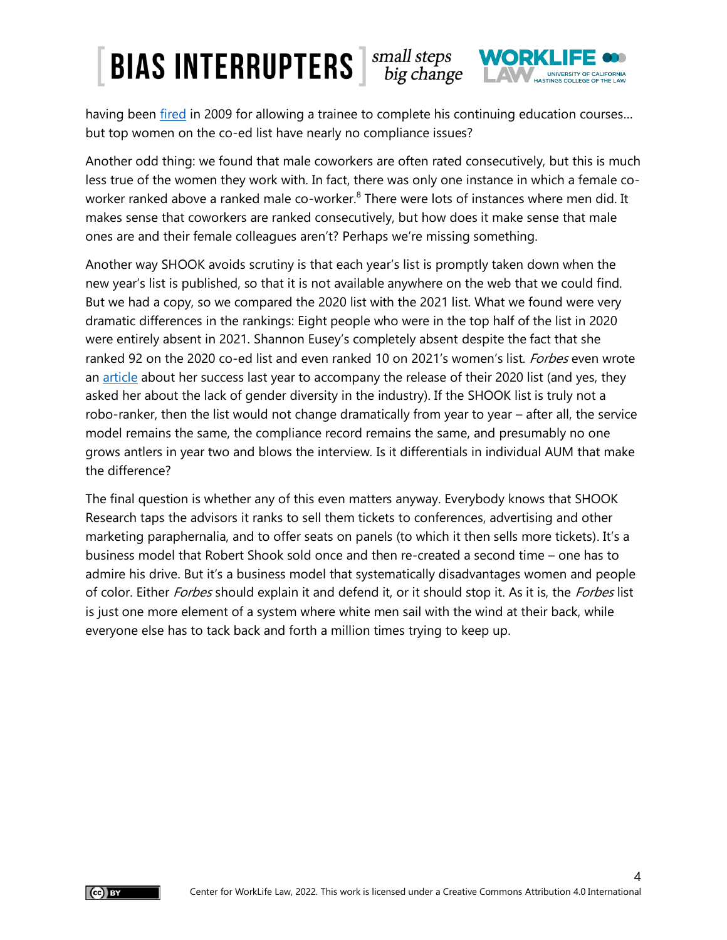# **BIAS INTERRUPTERS**  $\frac{small\ steps}{big\}_{\text{diag.}\text{change}}$ UNIVERSITY OF CALIFORNIA

having been [fired](https://brokercheck.finra.org/individual/summary/3053046#timelineSection) in 2009 for allowing a trainee to complete his continuing education courses... but top women on the co-ed list have nearly no compliance issues?

Another odd thing: we found that male coworkers are often rated consecutively, but this is much less true of the women they work with. In fact, there was only one instance in which a female coworker ranked above a ranked male co-worker.<sup>8</sup> There were lots of instances where men did. It makes sense that coworkers are ranked consecutively, but how does it make sense that male ones are and their female colleagues aren't? Perhaps we're missing something.

Another way SHOOK avoids scrutiny is that each year's list is promptly taken down when the new year's list is published, so that it is not available anywhere on the web that we could find. But we had a copy, so we compared the 2020 list with the 2021 list. What we found were very dramatic differences in the rankings: Eight people who were in the top half of the list in 2020 were entirely absent in 2021. Shannon Eusey's completely absent despite the fact that she ranked 92 on the 2020 co-ed list and even ranked 10 on 2021's women's list. Forbes even wrote an [article](https://www.forbes.com/sites/jasonbisnoff/2020/09/24/top-advisor-spotlight-shannon-eusey-beacon-pointe-advisors/?sh=176fed807e88) about her success last year to accompany the release of their 2020 list (and yes, they asked her about the lack of gender diversity in the industry). If the SHOOK list is truly not a robo-ranker, then the list would not change dramatically from year to year – after all, the service model remains the same, the compliance record remains the same, and presumably no one grows antlers in year two and blows the interview. Is it differentials in individual AUM that make the difference?

The final question is whether any of this even matters anyway. Everybody knows that SHOOK Research taps the advisors it ranks to sell them tickets to conferences, advertising and other marketing paraphernalia, and to offer seats on panels (to which it then sells more tickets). It's a business model that Robert Shook sold once and then re-created a second time – one has to admire his drive. But it's a business model that systematically disadvantages women and people of color. Either *Forbes* should explain it and defend it, or it should stop it. As it is, the *Forbes* list is just one more element of a system where white men sail with the wind at their back, while everyone else has to tack back and forth a million times trying to keep up.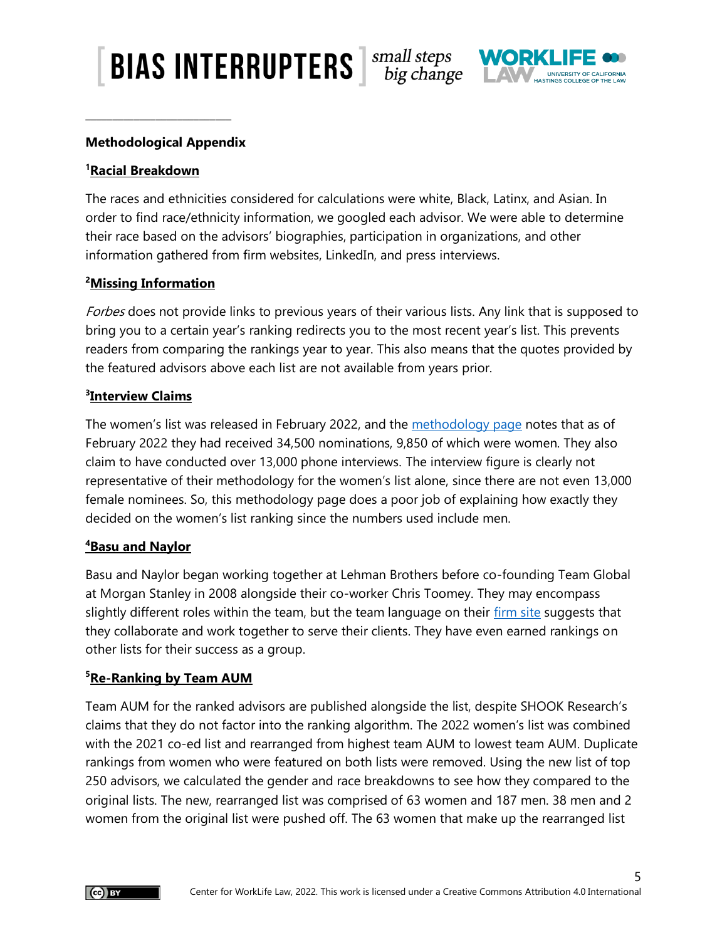$\left[\right.$  BIAS INTERRUPTERS  $\left[\right.$   $\right]$   $^{small\, steps}$  big change



## **Methodological Appendix**

**\_\_\_\_\_\_\_\_\_\_\_\_\_\_\_\_\_\_\_\_\_\_\_\_\_\_\_**

#### **<sup>1</sup>Racial Breakdown**

The races and ethnicities considered for calculations were white, Black, Latinx, and Asian. In order to find race/ethnicity information, we googled each advisor. We were able to determine their race based on the advisors' biographies, participation in organizations, and other information gathered from firm websites, LinkedIn, and press interviews.

## **<sup>2</sup>Missing Information**

Forbes does not provide links to previous years of their various lists. Any link that is supposed to bring you to a certain year's ranking redirects you to the most recent year's list. This prevents readers from comparing the rankings year to year. This also means that the quotes provided by the featured advisors above each list are not available from years prior.

## **3 Interview Claims**

The women's list was released in February 2022, and the [methodology page](https://www.forbes.com/sites/rjshook/2022/02/04/methodology-americas-top-women-wealth-advisors-2022/?sh=c04afee1864d) notes that as of February 2022 they had received 34,500 nominations, 9,850 of which were women. They also claim to have conducted over 13,000 phone interviews. The interview figure is clearly not representative of their methodology for the women's list alone, since there are not even 13,000 female nominees. So, this methodology page does a poor job of explaining how exactly they decided on the women's list ranking since the numbers used include men.

#### **<sup>4</sup>Basu and Naylor**

Basu and Naylor began working together at Lehman Brothers before co-founding Team Global at Morgan Stanley in 2008 alongside their co-worker Chris Toomey. They may encompass slightly different roles within the team, but the team language on their [firm site](https://advisor.morganstanley.com/team-global-at-morgan-stanley-private-wealth-management) suggests that they collaborate and work together to serve their clients. They have even earned rankings on other lists for their success as a group.

## **<sup>5</sup>Re-Ranking by Team AUM**

Team AUM for the ranked advisors are published alongside the list, despite SHOOK Research's claims that they do not factor into the ranking algorithm. The 2022 women's list was combined with the 2021 co-ed list and rearranged from highest team AUM to lowest team AUM. Duplicate rankings from women who were featured on both lists were removed. Using the new list of top 250 advisors, we calculated the gender and race breakdowns to see how they compared to the original lists. The new, rearranged list was comprised of 63 women and 187 men. 38 men and 2 women from the original list were pushed off. The 63 women that make up the rearranged list